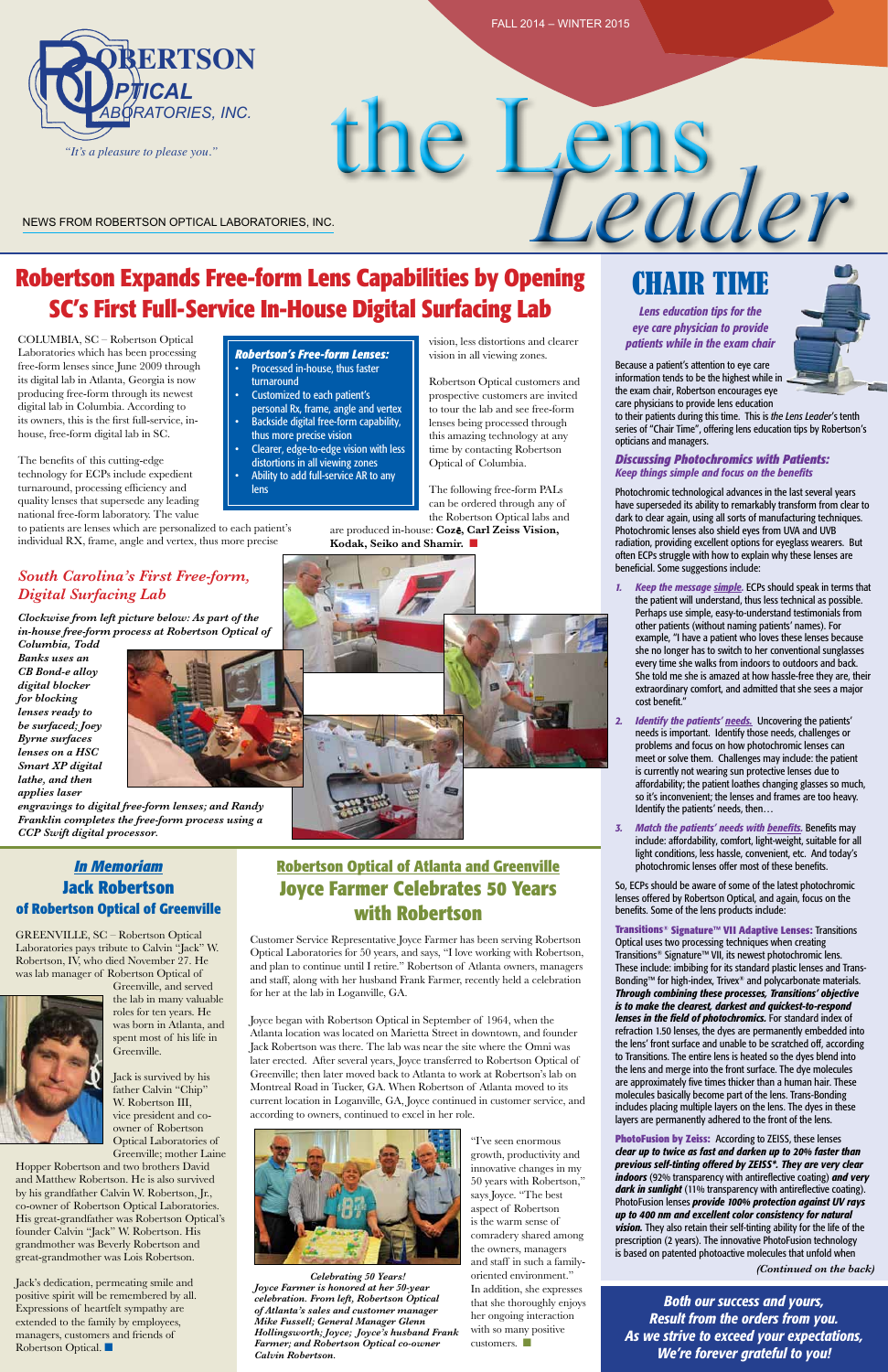*(Continued on the back)*

## **Robertson Expands Free-form Lens Capabilities by Opening SC's First Full-Service In-House Digital Surfacing Lab**

COLUMBIA, SC – Robertson Optical Laboratories which has been processing free-form lenses since June 2009 through its digital lab in Atlanta, Georgia is now producing free-form through its newest digital lab in Columbia. According to its owners, this is the first full-service, inhouse, free-form digital lab in SC.

The benefits of this cutting-edge technology for ECPs include expedient turnaround, processing efficiency and quality lenses that supersede any leading national free-form laboratory. The value

to patients are lenses which are personalized to each patient's individual RX, frame, angle and vertex, thus more precise

the Lens

# NEWS FROM ROBERTSON OPTICAL LABORATORIES, INC.

# CHAIR TIME

*Lens education tips for the eye care physician to provide patients while in the exam chair*

Because a patient's attention to eye care information tends to be the highest while in the exam chair, Robertson encourages eye care physicians to provide lens education

to their patients during this time. This is *the Lens Leader*'s tenth series of "Chair Time", offering lens education tips by Robertson's opticians and managers.

#### *Discussing Photochromics with Patients: Keep things simple and focus on the benefits*

Photochromic technological advances in the last several years have superseded its ability to remarkably transform from clear to dark to clear again, using all sorts of manufacturing techniques. Photochromic lenses also shield eyes from UVA and UVB radiation, providing excellent options for eyeglass wearers. But often ECPs struggle with how to explain why these lenses are beneficial. Some suggestions include:

- *1. Keep the message simple.* ECPs should speak in terms that the patient will understand, thus less technical as possible. Perhaps use simple, easy-to-understand testimonials from other patients (without naming patients' names). For example, "I have a patient who loves these lenses because she no longer has to switch to her conventional sunglasses every time she walks from indoors to outdoors and back. She told me she is amazed at how hassle-free they are, their extraordinary comfort, and admitted that she sees a major cost benefit."
- *2. Identify the patients' needs.* Uncovering the patients' needs is important. Identify those needs, challenges or problems and focus on how photochromic lenses can meet or solve them. Challenges may include: the patient is currently not wearing sun protective lenses due to affordability; the patient loathes changing glasses so much, so it's inconvenient; the lenses and frames are too heavy. Identify the patients' needs, then…
- *3. Match the patients' needs with benefits.* Benefits may include: affordability, comfort, light-weight, suitable for all light conditions, less hassle, convenient, etc. And today's photochromic lenses offer most of these benefits.

are produced in-house: **Coz**ē**, Carl Zeiss Vision,**  Kodak, Seiko and Shamir.



#### *Robertson's Free-form Lenses:* Processed in-house, thus faster

So, ECPs should be aware of some of the latest photochromic lenses offered by Robertson Optical, and again, focus on the benefits. Some of the lens products include:

Jack's dedication, permeating smile and positive spirit will be remembered by all. Expressions of heartfelt sympathy are extended to the family by employees, managers, customers and friends of Robertson Optical.  $\blacksquare$ 

**Transitions® Signature™ VII Adaptive Lenses:** Transitions Optical uses two processing techniques when creating Transitions® Signature™ VII, its newest photochromic lens. These include: imbibing for its standard plastic lenses and Trans-Bonding™ for high-index, Trivex® and polycarbonate materials. *Through combining these processes, Transitions' objective is to make the clearest, darkest and quickest-to-respond lenses in the field of photochromics.* For standard index of refraction 1.50 lenses, the dyes are permanently embedded into the lens' front surface and unable to be scratched off, according to Transitions. The entire lens is heated so the dyes blend into the lens and merge into the front surface. The dye molecules are approximately five times thicker than a human hair. These molecules basically become part of the lens. Trans-Bonding includes placing multiple layers on the lens. The dyes in these layers are permanently adhered to the front of the lens.



"I've seen enormous growth, productivity and innovative changes in my 50 years with Robertson," says Joyce. "The best aspect of Robertson is the warm sense of comradery shared among the owners, managers and staff in such a familyoriented environment." In addition, she expresses that she thoroughly enjoys her ongoing interaction with so many positive customers.  $\Box$ 

**PhotoFusion by Zeiss:** According to ZEISS, these lenses *clear up to twice as fast and darken up to 20% faster than previous self-tinting offered by ZEISS\*. They are very clear indoors* (92% transparency with antireflective coating) *and very dark in sunlight* (11% transparency with antireflective coating). PhotoFusion lenses *provide 100% protection against UV rays up to 400 nm and excellent color consistency for natural vision.* They also retain their self-tinting ability for the life of the prescription (2 years). The innovative PhotoFusion technology is based on patented photoactive molecules that unfold when

vision, less distortions and clearer vision in all viewing zones.

Robertson Optical customers and prospective customers are invited to tour the lab and see free-form lenses being processed through this amazing technology at any time by contacting Robertson Optical of Columbia.

The following free-form PALs can be ordered through any of the Robertson Optical labs and

## *South Carolina's First Free-form, Digital Surfacing Lab*

- turnaround Customized to each patient's
- personal Rx, frame, angle and vertex Backside digital free-form capability,
- thus more precise vision Clearer, edge-to-edge vision with less
- distortions in all viewing zones
- Ability to add full-service AR to any lens

*Clockwise from left picture below: As part of the in-house free-form process at Robertson Optical of* 

*Columbia, Todd Banks uses an CB Bond-e alloy digital blocker for blocking lenses ready to be surfaced; Joey Byrne surfaces lenses on a HSC Smart XP digital lathe, and then applies laser* 



*engravings to digital free-form lenses; and Randy Franklin completes the free-form process using a CCP Swift digital processor.* 

GREENVILLE, SC – Robertson Optical Laboratories pays tribute to Calvin "Jack" W. Robertson, IV, who died November 27. He was lab manager of Robertson Optical of

Greenville, and served the lab in many valuable

roles for ten years. He was born in Atlanta, and spent most of his life in Greenville.

Jack is survived by his father Calvin "Chip" W. Robertson III, vice president and coowner of Robertson Optical Laboratories of Greenville; mother Laine

Hopper Robertson and two brothers David and Matthew Robertson. He is also survived by his grandfather Calvin W. Robertson, Jr., co-owner of Robertson Optical Laboratories. His great-grandfather was Robertson Optical's founder Calvin "Jack" W. Robertson. His grandmother was Beverly Robertson and great-grandmother was Lois Robertson.

Customer Service Representative Joyce Farmer has been serving Robertson Optical Laboratories for 50 years, and says, "I love working with Robertson, and plan to continue until I retire." Robertson of Atlanta owners, managers and staff, along with her husband Frank Farmer, recently held a celebration for her at the lab in Loganville, GA.

Joyce began with Robertson Optical in September of 1964, when the Atlanta location was located on Marietta Street in downtown, and founder Jack Robertson was there. The lab was near the site where the Omni was later erected. After several years, Joyce transferred to Robertson Optical of Greenville; then later moved back to Atlanta to work at Robertson's lab on Montreal Road in Tucker, GA. When Robertson of Atlanta moved to its current location in Loganville, GA, Joyce continued in customer service, and according to owners, continued to excel in her role.



## **Robertson Optical of Atlanta and Greenville Joyce Farmer Celebrates 50 Years with Robertson**

*Celebrating 50 Years! Joyce Farmer is honored at her 50-year celebration. From left, Robertson Optical of Atlanta's sales and customer manager Mike Fussell; General Manager Glenn Hollingsworth; Joyce; Joyce's husband Frank Farmer; and Robertson Optical co-owner Calvin Robertson.* 

## *In Memoriam* **Jack Robertson of Robertson Optical of Greenville**

*Both our success and yours, Result from the orders from you. As we strive to exceed your expectations, We're forever grateful to you!*